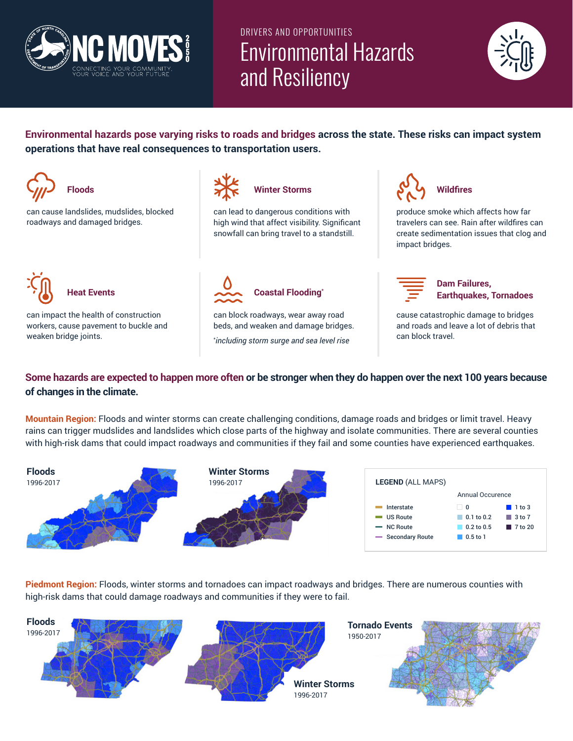

# DRIVERS AND OPPORTUNITIES Environmental Hazards and Resiliency



**Environmental hazards pose varying risks to roads and bridges across the state. These risks can impact system operations that have real consequences to transportation users.** 



\* *including storm surge and sea level rise*

### **Some hazards are expected to happen more often or be stronger when they do happen over the next 100 years because of changes in the climate.**

**Mountain Region:** Floods and winter storms can create challenging conditions, damage roads and bridges or limit travel. Heavy rains can trigger mudslides and landslides which close parts of the highway and isolate communities. There are several counties with high-risk dams that could impact roadways and communities if they fail and some counties have experienced earthquakes.

| <b>Floods</b><br>1996-2017 | <b>Winter Storms</b><br>1996-2017 | <b>LEGEND (ALL MAPS)</b> | Annual Occurence        |                       |  |
|----------------------------|-----------------------------------|--------------------------|-------------------------|-----------------------|--|
|                            |                                   | Interstate               | $\overline{\mathbf{0}}$ | $\blacksquare$ 1 to 3 |  |
|                            |                                   | <b>US Route</b>          | $\Box$ 0.1 to 0.2       | $\blacksquare$ 3 to 7 |  |
|                            |                                   | - NC Route               | 0.2 to 0.5              | ■ 7 to 20             |  |
|                            |                                   | - Secondary Route        | $\Box$ 0.5 to 1         |                       |  |

**Piedmont Region:** Floods, winter storms and tornadoes can impact roadways and bridges. There are numerous counties with high-risk dams that could damage roadways and communities if they were to fail.